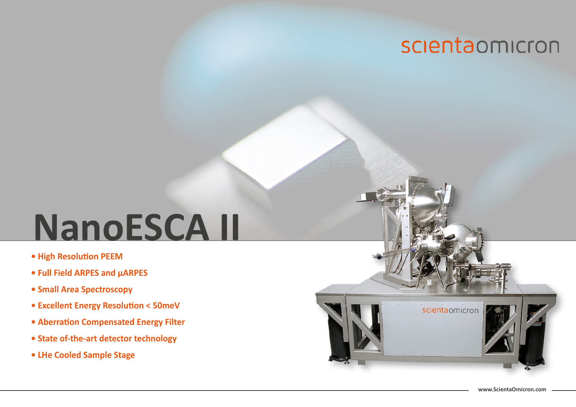# **NanoESCA II**

- **High Resolution PEEM**
- **Full Field ARPES and µARPES**
- **Small Area Spectroscopy**
- **Excellent Energy Resolution < 50meV**
- **Aberration Compensated Energy Filter**
- **State of-the-art detector technology**
- **LHe Cooled Sample Stage**

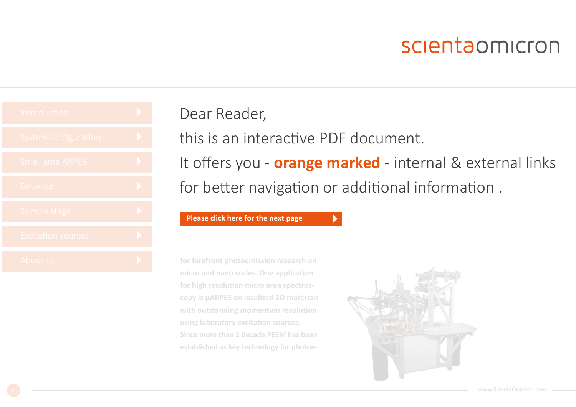

### Dear Reader,

this is an interactive PDF document.

It offers you - **orange marked** - internal & external links for better navigation or additional information .

**outstanding spectroscopy performance.** 

**For latest information like e.g. specs please click here**

#### **NanoESCA III comprehensive high spacial reso-[Please click here for the next page](#page-2-0)**

**for forefront photoemission research on micro and nano scales. One application for high resolution micro area spectroscopy is μARPES on localized 2D materials with outstanding momentum resolution using laboratory excitation sources. Since more than 2 decade PEEM has been established as key technology for photoe-**

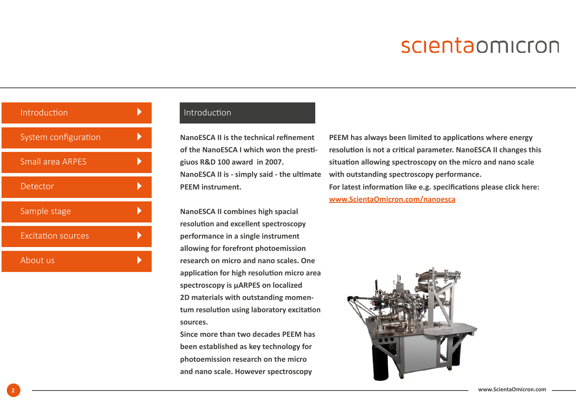<span id="page-2-0"></span>

| Introduction              |  |
|---------------------------|--|
| System configuration      |  |
| <b>Small area ARPES</b>   |  |
| Detector                  |  |
| Sample stage              |  |
| <b>Excitation sources</b> |  |
| About us                  |  |

### [Introduction](#page-3-0)

**NanoESCA II is the technical refinement of the NanoESCA I which won the prestigiuos R&D 100 award in 2007. NanoESCA II is - simply said - the ultimate PEEM instrument.**

**NanoESCA II combines high spacial resolution and excellent spectroscopy performance in a single instrument allowing for forefront photoemission research on micro and nano scales. One application for high resolution micro area spectroscopy is μARPES on localized 2D materials with outstanding momentum resolution using laboratory excitation sources.**

**Since more than two decades PEEM has been established as key technology for photoemission research on the micro and nano scale. However spectroscopy** 

**PEEM has always been limited to applications where energy resolution is not a critical parameter. NanoESCA II changes this situation allowing spectroscopy on the micro and nano scale with outstanding spectroscopy performance. For latest information like e.g. specifications please click here: [www.ScientaOmicron.com/nanoesca](https://www.scientaomicron.com/en/products/nanoesca-/instrument-concept)**

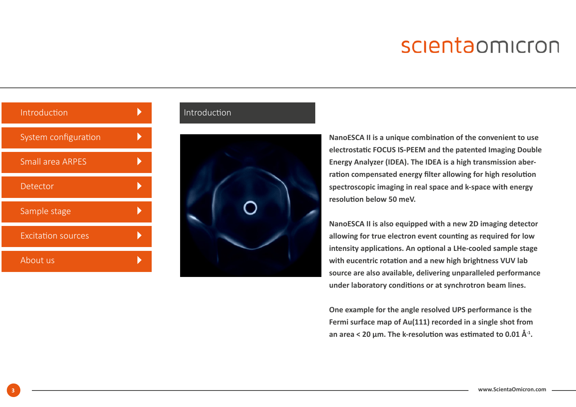<span id="page-3-0"></span>

| Introduction              |  |
|---------------------------|--|
| System configuration      |  |
| <b>Small area ARPES</b>   |  |
| Detector                  |  |
| Sample stage              |  |
| <b>Excitation sources</b> |  |
| About us                  |  |

### Introduction



**NanoESCA II is a unique combination of the convenient to use electrostatic FOCUS IS-PEEM and the patented Imaging Double Energy Analyzer (IDEA). The IDEA is a high transmission aberration compensated energy filter allowing for high resolution spectroscopic imaging in real space and k-space with energy resolution below 50 meV.**

**NanoESCA II is also equipped with a new 2D imaging detector allowing for true electron event counting as required for low intensity applications. An optional a LHe-cooled sample stage with eucentric rotation and a new high brightness VUV lab source are also available, delivering unparalleled performance under laboratory conditions or at synchrotron beam lines.**

**One example for the angle resolved UPS performance is the Fermi surface map of Au(111) recorded in a single shot from an area < 20 μm. The k-resolution was estimated to 0.01 Å-1.**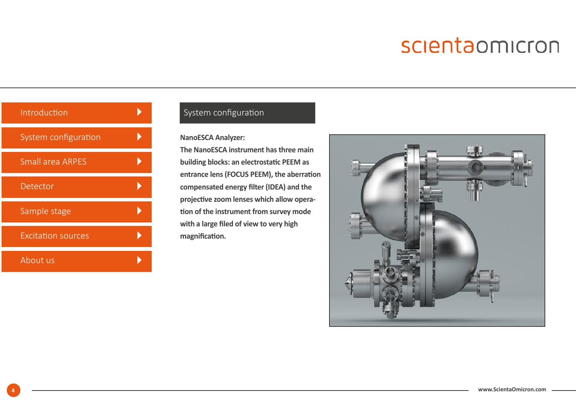<span id="page-4-0"></span>

| Introduction              |  |
|---------------------------|--|
| System configuration      |  |
| <b>Small area ARPES</b>   |  |
| Detector                  |  |
| Sample stage              |  |
| <b>Excitation sources</b> |  |
| About us                  |  |

### [System configuration](#page-3-0)

#### **NanoESCA Analyzer:**

**The NanoESCA instrument has three main building blocks: an electrostatic PEEM as entrance lens (FOCUS PEEM), the aberration compensated energy filter (IDEA) and the projective zoom lenses which allow operation of the instrument from survey mode with a large filed of view to very high magnification.**

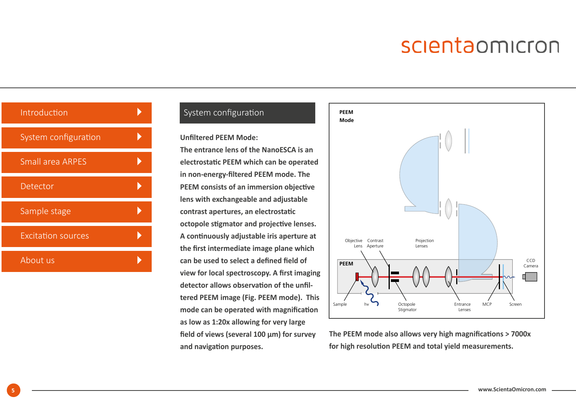| Introduction              |  |
|---------------------------|--|
| System configuration      |  |
| <b>Small area ARPES</b>   |  |
| Detector                  |  |
| Sample stage              |  |
| <b>Excitation sources</b> |  |
| About us                  |  |

### [System configuration](#page-3-0)

#### **Unfiltered PEEM Mode:**

**The entrance lens of the NanoESCA is an electrostatic PEEM which can be operated in non-energy-filtered PEEM mode. The PEEM consists of an immersion objective lens with exchangeable and adjustable contrast apertures, an electrostatic octopole stigmator and projective lenses. A continuously adjustable iris aperture at the first intermediate image plane which can be used to select a defined field of view for local spectroscopy. A first imaging detector allows observation of the unfiltered PEEM image (Fig. PEEM mode). This mode can be operated with magnification as low as 1:20x allowing for very large field of views (several 100 µm) for survey and navigation purposes.** 



**The PEEM mode also allows very high magnifications > 7000x for high resolution PEEM and total yield measurements.**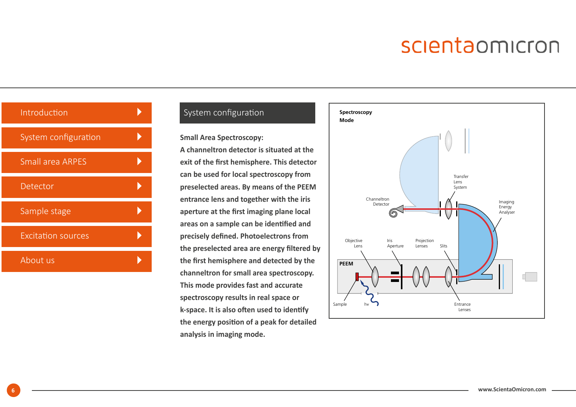| Introduction              |  |
|---------------------------|--|
| System configuration      |  |
| <b>Small area ARPES</b>   |  |
| Detector                  |  |
| Sample stage              |  |
| <b>Excitation sources</b> |  |
| About us                  |  |

### [System configuration](#page-3-0)

**Small Area Spectroscopy:** 

**A channeltron detector is situated at the exit of the first hemisphere. This detector can be used for local spectroscopy from preselected areas. By means of the PEEM entrance lens and together with the iris aperture at the first imaging plane local areas on a sample can be identified and precisely defined. Photoelectrons from the preselected area are energy filtered by the first hemisphere and detected by the channeltron for small area spectroscopy. This mode provides fast and accurate spectroscopy results in real space or k-space. It is also often used to identify the energy position of a peak for detailed analysis in imaging mode.**

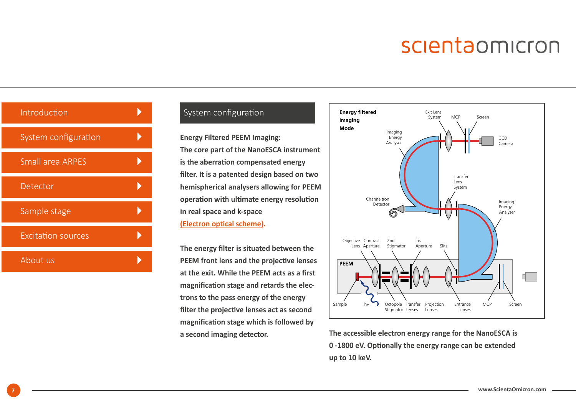| Introduction              |  |
|---------------------------|--|
| System configuration      |  |
| <b>Small area ARPES</b>   |  |
| Detector                  |  |
| Sample stage              |  |
| <b>Excitation sources</b> |  |
| About us                  |  |

### [System configuration](#page-3-0)

**Energy Filtered PEEM Imaging: The core part of the NanoESCA instrument is the aberration compensated energy filter. It is a patented design based on two hemispherical analysers allowing for PEEM operation with ultimate energy resolution in real space and k-space [\(Electron optical scheme\)](#page-8-0).** 

**The energy filter is situated between the PEEM front lens and the projective lenses at the exit. While the PEEM acts as a first magnification stage and retards the electrons to the pass energy of the energy filter the projective lenses act as second magnification stage which is followed by a second imaging detector.** 



**The accessible electron energy range for the NanoESCA is 0 -1800 eV. Optionally the energy range can be extended up to 10 keV.**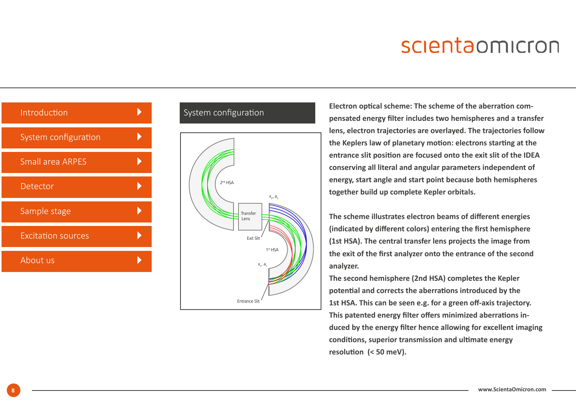<span id="page-8-0"></span>

| Introduction              |  |
|---------------------------|--|
| System configuration      |  |
| <b>Small area ARPES</b>   |  |
| Detector                  |  |
| Sample stage              |  |
| <b>Excitation sources</b> |  |
| About us                  |  |
|                           |  |

#### [System configuration](#page-3-0)



**Electron optical scheme: The scheme of the aberration compensated energy filter includes two hemispheres and a transfer lens, electron trajectories are overlayed. The trajectories follow the Keplers law of planetary motion: electrons starting at the entrance slit position are focused onto the exit slit of the IDEA conserving all literal and angular parameters independent of energy, start angle and start point because both hemispheres together build up complete Kepler orbitals.** 

**The scheme illustrates electron beams of different energies (indicated by different colors) entering the first hemisphere (1st HSA). The central transfer lens projects the image from the exit of the first analyzer onto the entrance of the second analyzer.** 

**The second hemisphere (2nd HSA) completes the Kepler potential and corrects the aberrations introduced by the 1st HSA. This can be seen e.g. for a green off-axis trajectory. This patented energy filter offers minimized aberrations induced by the energy filter hence allowing for excellent imaging conditions, superior transmission and ultimate energy resolution (< 50 meV).**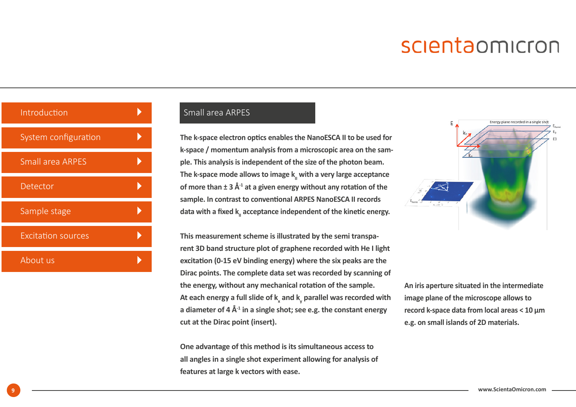<span id="page-9-0"></span>

| Introduction              |  |
|---------------------------|--|
| System configuration      |  |
| <b>Small area ARPES</b>   |  |
| Detector                  |  |
| Sample stage              |  |
| <b>Excitation sources</b> |  |
| About us                  |  |

### [Small area ARPES](#page-3-0)

**The k-space electron optics enables the NanoESCA II to be used for k-space / momentum analysis from a microscopic area on the sample. This analysis is independent of the size of the photon beam.**  The k-space mode allows to image k<sub>ii</sub> with a very large acceptance **of more than ± 3 Å-1 at a given energy without any rotation of the sample. In contrast to conventional ARPES NanoESCA II records**  data with a fixed k<sub>ii</sub> acceptance independent of the kinetic energy.

**This measurement scheme is illustrated by the semi transparent 3D band structure plot of graphene recorded with He I light excitation (0-15 eV binding energy) where the six peaks are the Dirac points. The complete data set was recorded by scanning of the energy, without any mechanical rotation of the sample.**  At each energy a full slide of **k<sub>x</sub> and <b>k<sub>y</sub>** parallel was recorded with **a diameter of 4 Å-1 in a single shot; see e.g. the constant energy cut at the Dirac point (insert).**

**One advantage of this method is its simultaneous access to all angles in a single shot experiment allowing for analysis of features at large k vectors with ease.** 

Energy plane recorded in a single sho

**An iris aperture situated in the intermediate image plane of the microscope allows to record k-space data from local areas < 10 μm e.g. on small islands of 2D materials.**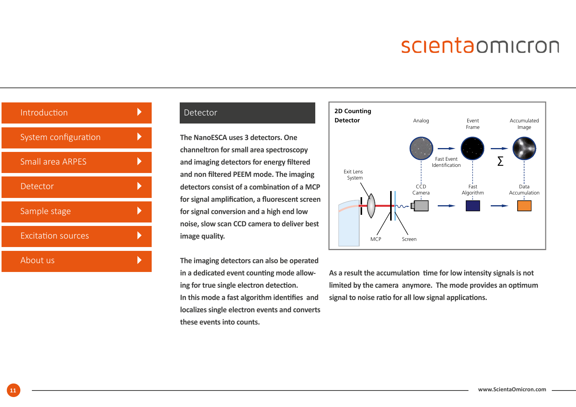<span id="page-10-0"></span>

| Introduction              |  |
|---------------------------|--|
| System configuration      |  |
| <b>Small area ARPES</b>   |  |
| Detector                  |  |
| Sample stage              |  |
| <b>Excitation sources</b> |  |
| About us                  |  |

#### [Detector](#page-3-0)

**The NanoESCA uses 3 detectors. One channeltron for small area spectroscopy and imaging detectors for energy filtered and non filtered PEEM mode. The imaging detectors consist of a combination of a MCP for signal amplification, a fluorescent screen for signal conversion and a high end low noise, slow scan CCD camera to deliver best image quality.**

**The imaging detectors can also be operated in a dedicated event counting mode allowing for true single electron detection. In this mode a fast algorithm identifies and localizes single electron events and converts these events into counts.** 



**As a result the accumulation time for low intensity signals is not limited by the camera anymore. The mode provides an optimum signal to noise ratio for all low signal applications.**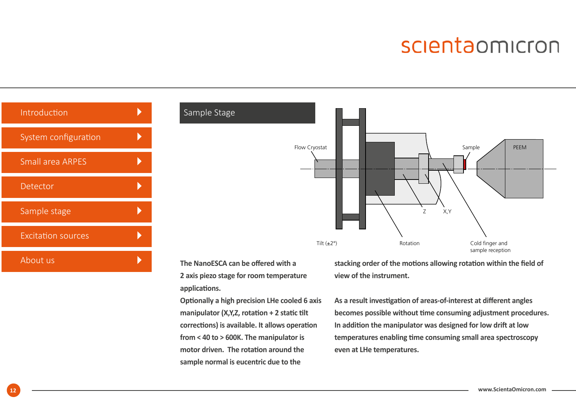<span id="page-11-0"></span>

| Introduction              |  |
|---------------------------|--|
| System configuration      |  |
| <b>Small area ARPES</b>   |  |
| Detector                  |  |
| Sample stage              |  |
| <b>Excitation sources</b> |  |
| About us                  |  |



The NanoESCA can be offered with a **2 axis piezo stage for room temperature applications.** 

**Optionally a high precision LHe cooled 6 axis manipulator (X,Y,Z, rotation + 2 static tilt corrections) is available. It allows operation from < 40 to > 600K. The manipulator is motor driven. The rotation around the sample normal is eucentric due to the** 

**stacking order of the motions allowing rotation within the field of view of the instrument.** 

**As a result investigation of areas-of-interest at different angles becomes possible without time consuming adjustment procedures. In addition the manipulator was designed for low drift at low temperatures enabling time consuming small area spectroscopy even at LHe temperatures.**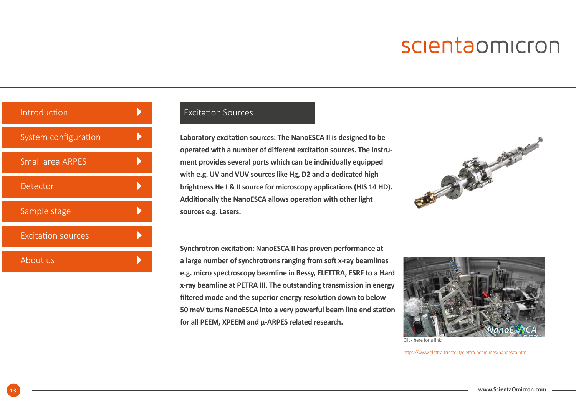<span id="page-12-0"></span>

| Introduction              |  |
|---------------------------|--|
| System configuration      |  |
| <b>Small area ARPES</b>   |  |
| Detector                  |  |
| Sample stage              |  |
| <b>Excitation sources</b> |  |
| About us                  |  |

#### [Excitation Sources](#page-3-0)

**Laboratory excitation sources: The NanoESCA II is designed to be operated with a number of different excitation sources. The instrument provides several ports which can be individually equipped with e.g. UV and VUV sources like Hg, D2 and a dedicated high brightness He I & II source for microscopy applications (HIS 14 HD). Additionally the NanoESCA allows operation with other light sources e.g. Lasers.** 



**Synchrotron excitation: NanoESCA II has proven performance at a large number of synchrotrons ranging from soft x-ray beamlines e.g. micro spectroscopy beamline in Bessy, ELETTRA, ESRF to a Hard x-ray beamline at PETRA III. The outstanding transmission in energy filtered mode and the superior energy resolution down to below 50 meV turns NanoESCA into a very powerful beam line end station for all PEEM, XPEEM and µ-ARPES related research.** 



Click here for a link:

[https://www.elettra.trieste.it/elettra-beamlines/nanoesca.html](http://www.elettra.trieste.it/it/lightsources/elettra/elettra-beamlines/nanoesca/nanoesca.html)